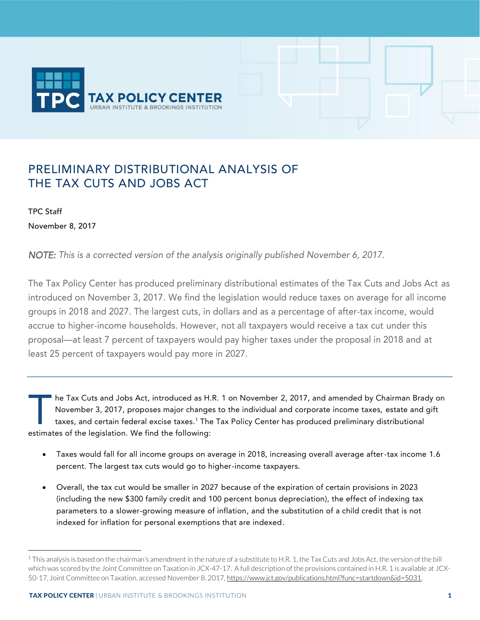

# PRELIMINARY DISTRIBUTIONAL ANALYSIS OF THE TAX CUTS AND JOBS ACT

TPC Staff November 8, 2017

-

*NOTE: This is a corrected version of the analysis originally published November 6, 2017.* 

The Tax Policy Center has produced preliminary distributional estimates of the Tax Cuts and Jobs Act as introduced on November 3, 2017. We find the legislation would reduce taxes on average for all income groups in 2018 and 2027. The largest cuts, in dollars and as a percentage of after-tax income, would accrue to higher-income households. However, not all taxpayers would receive a tax cut under this proposal—at least 7 percent of taxpayers would pay higher taxes under the proposal in 2018 and at least 25 percent of taxpayers would pay more in 2027.

he Tax Cuts and Jobs Act, introduced as H.R. 1 on November 2, 2017, and amended by Chairman Brady on November 3, 2017, proposes major changes to the individual and corporate income taxes, estate and gift taxes, and certain federal excise taxes. <sup>1</sup> The Tax Policy Center has produced preliminary distributional he Tax Cuts and Jobs Act, introduced as H.<br>November 3, 2017, proposes major change<br>taxes, and certain federal excise taxes.<sup>1</sup> The<br>estimates of the legislation. We find the following:

- Taxes would fall for all income groups on average in 2018, increasing overall average after-tax income 1.6 percent. The largest tax cuts would go to higher-income taxpayers.
- Overall, the tax cut would be smaller in 2027 because of the expiration of certain provisions in 2023 (including the new \$300 family credit and 100 percent bonus depreciation), the effect of indexing tax parameters to a slower-growing measure of inflation, and the substitution of a child credit that is not indexed for inflation for personal exemptions that are indexed.

<sup>&</sup>lt;sup>1</sup> This analysis is based on the chairman's amendment in the nature of a substitute to H.R. 1, the Tax Cuts and Jobs Act, the version of the bill which was scored by the Joint Committee on Taxation in JCX-47-17. A full description of the provisions contained in H.R. 1 is available at JCX-50-17, Joint Committee on Taxation, accessed November 8, 2017[, https://www.jct.gov/publications.html?func=startdown&id=5031.](https://www.jct.gov/publications.html?func=startdown&id=5031)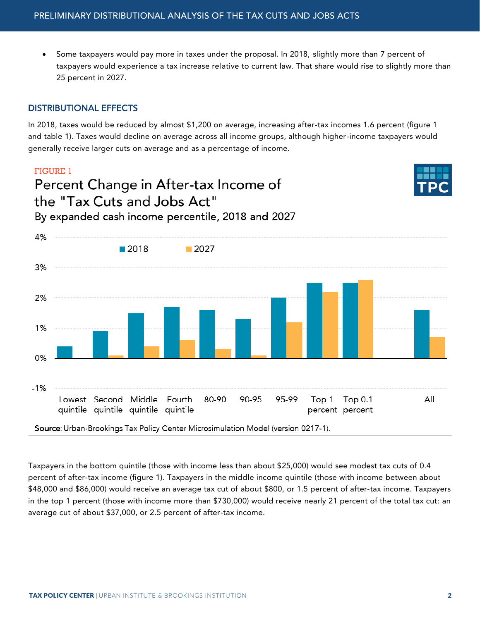• Some taxpayers would pay more in taxes under the proposal. In 2018, slightly more than 7 percent of taxpayers would experience a tax increase relative to current law. That share would rise to slightly more than 25 percent in 2027.

## DISTRIBUTIONAL EFFECTS

In 2018, taxes would be reduced by almost \$1,200 on average, increasing after-tax incomes 1.6 percent (figure 1 and table 1). Taxes would decline on average across all income groups, although higher-income taxpayers would generally receive larger cuts on average and as a percentage of income.

### **FIGURE 1**

 $0%$ 

# Percent Change in After-tax Income of the "Tax Cuts and Jobs Act" By expanded cash income percentile, 2018 and 2027



4%  $\blacksquare$  2018  $\blacksquare$  2027 3% 2%  $1%$ 

 $-1%$ Lowest Second Middle Fourth 80-90 90-95 95-99 Top 1 **Top 0.1** All quintile quintile quintile quintile percent percent

Source: Urban-Brookings Tax Policy Center Microsimulation Model (version 0217-1).

Taxpayers in the bottom quintile (those with income less than about \$25,000) would see modest tax cuts of 0.4 percent of after-tax income (figure 1). Taxpayers in the middle income quintile (those with income between about \$48,000 and \$86,000) would receive an average tax cut of about \$800, or 1.5 percent of after-tax income. Taxpayers in the top 1 percent (those with income more than \$730,000) would receive nearly 21 percent of the total tax cut: an average cut of about \$37,000, or 2.5 percent of after-tax income.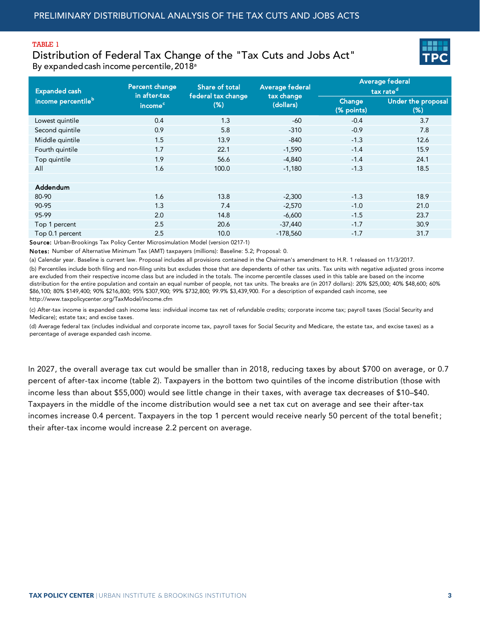#### TABLE 1

Distribution of Federal Tax Change of the "Tax Cuts and Jobs Act" By expanded cash income percentile, 2018<sup>a</sup>



| <b>Expanded cash</b>           | Percent change<br>in after-tax | Share of total<br>federal tax change | <b>Average federal</b><br>tax change | Average <u>federal'</u><br>tax rate <sup>d</sup> |                              |
|--------------------------------|--------------------------------|--------------------------------------|--------------------------------------|--------------------------------------------------|------------------------------|
| income percentile <sup>b</sup> | income <sup>c</sup>            | $(\%)$                               | (dollars)                            | Change<br>(% points)                             | Under the proposal<br>$(\%)$ |
| Lowest quintile                | 0.4                            | 1.3                                  | $-60$                                | $-0.4$                                           | 3.7                          |
| Second quintile                | 0.9                            | 5.8                                  | $-310$                               | $-0.9$                                           | 7.8                          |
| Middle quintile                | 1.5                            | 13.9                                 | $-840$                               | $-1.3$                                           | 12.6                         |
| Fourth quintile                | 1.7                            | 22.1                                 | $-1,590$                             | $-1.4$                                           | 15.9                         |
| Top quintile                   | 1.9                            | 56.6                                 | $-4,840$                             | $-1.4$                                           | 24.1                         |
| All                            | 1.6                            | 100.0                                | $-1,180$                             | $-1.3$                                           | 18.5                         |
|                                |                                |                                      |                                      |                                                  |                              |
| Addendum                       |                                |                                      |                                      |                                                  |                              |
| 80-90                          | 1.6                            | 13.8                                 | $-2,300$                             | $-1.3$                                           | 18.9                         |
| 90-95                          | 1.3                            | 7.4                                  | $-2,570$                             | $-1.0$                                           | 21.0                         |
| 95-99                          | 2.0                            | 14.8                                 | $-6,600$                             | $-1.5$                                           | 23.7                         |
| Top 1 percent                  | 2.5                            | 20.6                                 | $-37,440$                            | $-1.7$                                           | 30.9                         |
| Top 0.1 percent                | 2.5                            | 10.0                                 | $-178,560$                           | $-1.7$                                           | 31.7                         |

Source: Urban-Brookings Tax Policy Center Microsimulation Model (version 0217-1)

Notes: Number of Alternative Minimum Tax (AMT) taxpayers (millions): Baseline: 5.2; Proposal: 0.

(a) Calendar year. Baseline is current law. Proposal includes all provisions contained in the Chairman's amendment to H.R. 1 released on 11/3/2017. (b) Percentiles include both filing and non-filing units but excludes those that are dependents of other tax units. Tax units with negative adjusted gross income are excluded from their respective income class but are included in the totals. The income percentile classes used in this table are based on the income distribution for the entire population and contain an equal number of people, not tax units. The breaks are (in 2017 dollars): 20% \$25,000; 40% \$48,600; 60% \$86,100; 80% \$149,400; 90% \$216,800; 95% \$307,900; 99% \$732,800; 99.9% \$3,439,900. For a description of expanded cash income, see http://www.taxpolicycenter.org/TaxModel/income.cfm

(c) After-tax income is expanded cash income less: individual income tax net of refundable credits; corporate income tax; payroll taxes (Social Security and Medicare); estate tax; and excise taxes.

(d) Average federal tax (includes individual and corporate income tax, payroll taxes for Social Security and Medicare, the estate tax, and excise taxes) as a percentage of average expanded cash income.

In 2027, the overall average tax cut would be smaller than in 2018, reducing taxes by about \$700 on average, or 0.7 percent of after-tax income (table 2). Taxpayers in the bottom two quintiles of the income distribution (those with income less than about \$55,000) would see little change in their taxes, with average tax decreases of \$10–\$40. Taxpayers in the middle of the income distribution would see a net tax cut on average and see their after-tax incomes increase 0.4 percent. Taxpayers in the top 1 percent would receive nearly 50 percent of the total benefit; their after-tax income would increase 2.2 percent on average.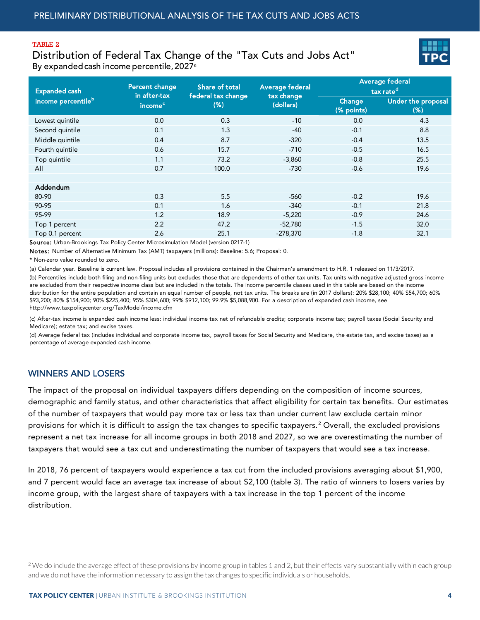#### TABLE 2

Distribution of Federal Tax Change of the "Tax Cuts and Jobs Act" By expanded cash income percentile, 2027a



| <b>Expanded cash</b>           | Percent change<br>in after-tax | Share of total<br>federal tax change | <b>Average federal</b><br>tax change | Average fede <u>ral</u><br>tax rate <sup>d</sup> |                              |
|--------------------------------|--------------------------------|--------------------------------------|--------------------------------------|--------------------------------------------------|------------------------------|
| income percentile <sup>b</sup> | income <sup>c</sup>            | $(\%)$                               | (dollars)                            | Change<br>(% points)                             | Under the proposal<br>$(\%)$ |
| Lowest quintile                | 0.0                            | 0.3                                  | $-10$                                | 0.0                                              | 4.3                          |
| Second quintile                | 0.1                            | 1.3                                  | $-40$                                | $-0.1$                                           | 8.8                          |
| Middle quintile                | 0.4                            | 8.7                                  | $-320$                               | $-0.4$                                           | 13.5                         |
| Fourth quintile                | 0.6                            | 15.7                                 | $-710$                               | $-0.5$                                           | 16.5                         |
| Top quintile                   | 1.1                            | 73.2                                 | $-3,860$                             | $-0.8$                                           | 25.5                         |
| All                            | 0.7                            | 100.0                                | $-730$                               | $-0.6$                                           | 19.6                         |
|                                |                                |                                      |                                      |                                                  |                              |
| Addendum                       |                                |                                      |                                      |                                                  |                              |
| 80-90                          | 0.3                            | 5.5                                  | $-560$                               | $-0.2$                                           | 19.6                         |
| 90-95                          | 0.1                            | 1.6                                  | $-340$                               | $-0.1$                                           | 21.8                         |
| 95-99                          | 1.2                            | 18.9                                 | $-5,220$                             | $-0.9$                                           | 24.6                         |
| Top 1 percent                  | 2.2                            | 47.2                                 | $-52,780$                            | $-1.5$                                           | 32.0                         |
| Top 0.1 percent                | 2.6                            | 25.1                                 | $-278,370$                           | $-1.8$                                           | 32.1                         |

Source: Urban-Brookings Tax Policy Center Microsimulation Model (version 0217-1)

Notes: Number of Alternative Minimum Tax (AMT) taxpayers (millions): Baseline: 5.6; Proposal: 0.

\* Non-zero value rounded to zero.

(a) Calendar year. Baseline is current law. Proposal includes all provisions contained in the Chairman's amendment to H.R. 1 released on 11/3/2017.

(b) Percentiles include both filing and non-filing units but excludes those that are dependents of other tax units. Tax units with negative adjusted gross income are excluded from their respective income class but are included in the totals. The income percentile classes used in this table are based on the income distribution for the entire population and contain an equal number of people, not tax units. The breaks are (in 2017 dollars): 20% \$28,100; 40% \$54,700; 60% \$93,200; 80% \$154,900; 90% \$225,400; 95% \$304,600; 99% \$912,100; 99.9% \$5,088,900. For a description of expanded cash income, see http://www.taxpolicycenter.org/TaxModel/income.cfm

(c) After-tax income is expanded cash income less: individual income tax net of refundable credits; corporate income tax; payroll taxes (Social Security and Medicare); estate tax; and excise taxes.

(d) Average federal tax (includes individual and corporate income tax, payroll taxes for Social Security and Medicare, the estate tax, and excise taxes) as a percentage of average expanded cash income.

### WINNERS AND LOSERS

-

The impact of the proposal on individual taxpayers differs depending on the composition of income sources, demographic and family status, and other characteristics that affect eligibility for certain tax benefits. Our estimates of the number of taxpayers that would pay more tax or less tax than under current law exclude certain minor provisions for which it is difficult to assign the tax changes to specific taxpayers. <sup>2</sup> Overall, the excluded provisions represent a net tax increase for all income groups in both 2018 and 2027, so we are overestimating the number of taxpayers that would see a tax cut and underestimating the number of taxpayers that would see a tax increase.

In 2018, 76 percent of taxpayers would experience a tax cut from the included provisions averaging about \$1,900, and 7 percent would face an average tax increase of about \$2,100 (table 3). The ratio of winners to losers varies by income group, with the largest share of taxpayers with a tax increase in the top 1 percent of the income distribution.

 $2$  We do include the average effect of these provisions by income group in tables 1 and 2, but their effects vary substantially within each group and we do not have the information necessary to assign the tax changes to specific individuals or households.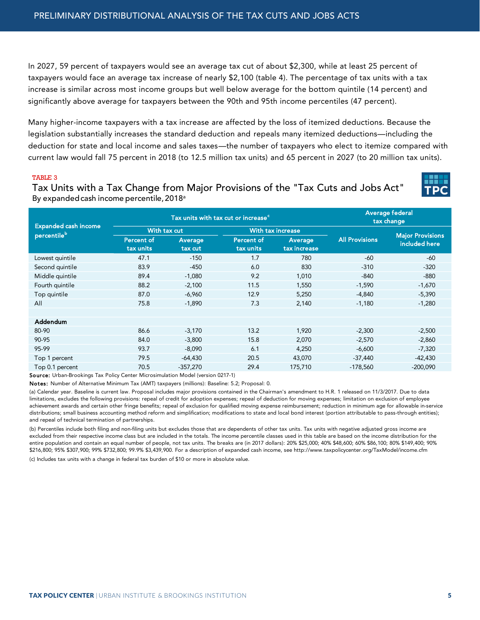In 2027, 59 percent of taxpayers would see an average tax cut of about \$2,300, while at least 25 percent of taxpayers would face an average tax increase of nearly \$2,100 (table 4). The percentage of tax units with a tax increase is similar across most income groups but well below average for the bottom quintile (14 percent) and significantly above average for taxpayers between the 90th and 95th income percentiles (47 percent).

Many higher-income taxpayers with a tax increase are affected by the loss of itemized deductions. Because the legislation substantially increases the standard deduction and repeals many itemized deductions—including the deduction for state and local income and sales taxes—the number of taxpayers who elect to itemize compared with current law would fall 75 percent in 2018 (to 12.5 million tax units) and 65 percent in 2027 (to 20 million tax units).

#### TABLE 3

Tax Units with a Tax Change from Major Provisions of the "Tax Cuts and Jobs Act" By expanded cash income percentile, 2018<sup>a</sup>

| <b>Expanded cash income</b><br>percentileb |                   | Tax units with tax cut or increase <sup>c</sup> | Average federal<br>tax change |              |                       |                                          |
|--------------------------------------------|-------------------|-------------------------------------------------|-------------------------------|--------------|-----------------------|------------------------------------------|
|                                            | With tax cut      |                                                 | With tax increase             |              |                       |                                          |
|                                            | <b>Percent of</b> | Average                                         | <b>Percent of</b>             | Average      | <b>All Provisions</b> | <b>Major Provisions</b><br>included here |
|                                            | tax units         | tax cut                                         | tax units                     | tax increase |                       |                                          |
| Lowest quintile                            | 47.1              | $-150$                                          | 1.7                           | 780          | $-60$                 | -60                                      |
| Second quintile                            | 83.9              | $-450$                                          | 6.0                           | 830          | $-310$                | $-320$                                   |
| Middle quintile                            | 89.4              | $-1,080$                                        | 9.2                           | 1,010        | $-840$                | $-880$                                   |
| Fourth quintile                            | 88.2              | $-2,100$                                        | 11.5                          | 1,550        | $-1,590$              | $-1,670$                                 |
| Top quintile                               | 87.0              | $-6,960$                                        | 12.9                          | 5,250        | $-4,840$              | $-5,390$                                 |
| All                                        | 75.8              | $-1,890$                                        | 7.3                           | 2,140        | $-1,180$              | $-1,280$                                 |
|                                            |                   |                                                 |                               |              |                       |                                          |
| Addendum                                   |                   |                                                 |                               |              |                       |                                          |
| 80-90                                      | 86.6              | $-3,170$                                        | 13.2                          | 1,920        | $-2,300$              | $-2,500$                                 |
| 90-95                                      | 84.0              | $-3,800$                                        | 15.8                          | 2,070        | $-2,570$              | $-2,860$                                 |
| 95-99                                      | 93.7              | $-8,090$                                        | 6.1                           | 4,250        | $-6,600$              | $-7,320$                                 |
| Top 1 percent                              | 79.5              | $-64,430$                                       | 20.5                          | 43,070       | $-37,440$             | $-42,430$                                |
| Top 0.1 percent                            | 70.5              | -357,270                                        | 29.4                          | 175,710      | $-178,560$            | $-200,090$                               |

Source: Urban-Brookings Tax Policy Center Microsimulation Model (version 0217-1)

Notes: Number of Alternative Minimum Tax (AMT) taxpayers (millions): Baseline: 5.2; Proposal: 0.

(a) Calendar year. Baseline is current law. Proposal includes major provisions contained in the Chairman's amendment to H.R. 1 released on 11/3/2017. Due to data limitations, excludes the following provisions: repeal of credit for adoption expenses; repeal of deduction for moving expenses; limitation on exclusion of employee achievement awards and certain other fringe benefits; repeal of exclusion for qualified moving expense reimbursement; reduction in minimum age for allowable in-service distributions; small business accounting method reform and simplification; modifications to state and local bond interest (portion attributable to pass-through entities); and repeal of technical termination of partnerships.

(b) Percentiles include both filing and non-filing units but excludes those that are dependents of other tax units. Tax units with negative adjusted gross income are excluded from their respective income class but are included in the totals. The income percentile classes used in this table are based on the income distribution for the entire population and contain an equal number of people, not tax units. The breaks are (in 2017 dollars): 20% \$25,000; 40% \$48,600; 60% \$86,100; 80% \$149,400; 90% \$216,800; 95% \$307,900; 99% \$732,800; 99.9% \$3,439,900. For a description of expanded cash income, see http://www.taxpolicycenter.org/TaxModel/income.cfm

(c) Includes tax units with a change in federal tax burden of \$10 or more in absolute value.